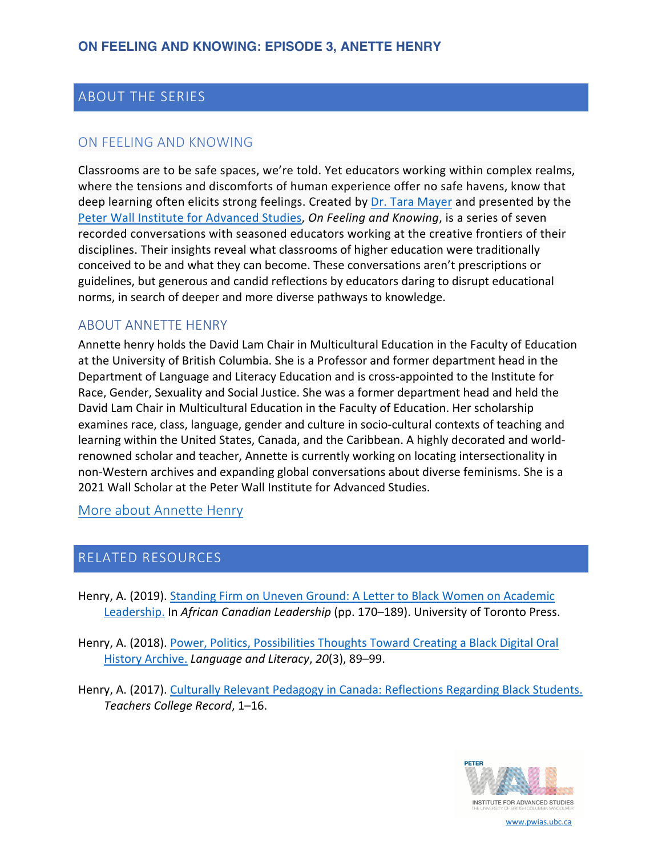## ABOUT THE SERIES

### ON FEELING AND KNOWING

Classrooms are to be safe spaces, we're told. Yet educators working within complex realms, where the tensions and discomforts of human experience offer no safe havens, know that deep learning often elicits strong feelings. Created by [Dr. Tara Mayer](https://pwias.ubc.ca/community/tara-mayer/) and presented by the [Peter Wall Institute for Advanced Studies,](https://pwias.ubc.ca/) *On Feeling and Knowing*, is a series of seven recorded conversations with seasoned educators working at the creative frontiers of their disciplines. Their insights reveal what classrooms of higher education were traditionally conceived to be and what they can become. These conversations aren't prescriptions or guidelines, but generous and candid reflections by educators daring to disrupt educational norms, in search of deeper and more diverse pathways to knowledge.

#### ABOUT ANNETTE HENRY

Annette henry holds the David Lam Chair in Multicultural Education in the Faculty of Education at the University of British Columbia. She is a Professor and former department head in the Department of Language and Literacy Education and is cross-appointed to the Institute for Race, Gender, Sexuality and Social Justice. She was a former department head and held the David Lam Chair in Multicultural Education in the Faculty of Education. Her scholarship examines race, class, language, gender and culture in socio-cultural contexts of teaching and learning within the United States, Canada, and the Caribbean. A highly decorated and worldrenowned scholar and teacher, Annette is currently working on locating intersectionality in non-Western archives and expanding global conversations about diverse feminisms. She is a 2021 Wall Scholar at the Peter Wall Institute for Advanced Studies.

[More about Annette Henry](https://lled.educ.ubc.ca/profiles/annette-henry/)

#### RELATED RESOURCES

- [Henry, A. \(2019\). Standing Firm on Uneven Ground: A Letter to Black Women on Academic](https://www.degruyter.com/document/doi/10.3138/9781487531409-008/html)  Leadership. In *African Canadian Leadership* (pp. 170–189). University of Toronto Press.
- [Henry, A. \(2018\). Power, Politics, Possibilities Thoughts Toward Creating a Black Digital Oral](https://journals.library.ualberta.ca/langandlit/index.php/langandlit/article/view/29411)  History Archive. *Language and Literacy*, *20*(3), 89–99.
- [Henry, A. \(2017\). Culturally Relevant Pedagogy in Canada: Reflections Regarding Black Students.](https://www.academia.edu/31479211/Culturally_Relevant_Pedagogy_in_Canada_Reflections_Regarding_Black_Students) *Teachers College Record*, 1–16.



www.pwias.ubc.ca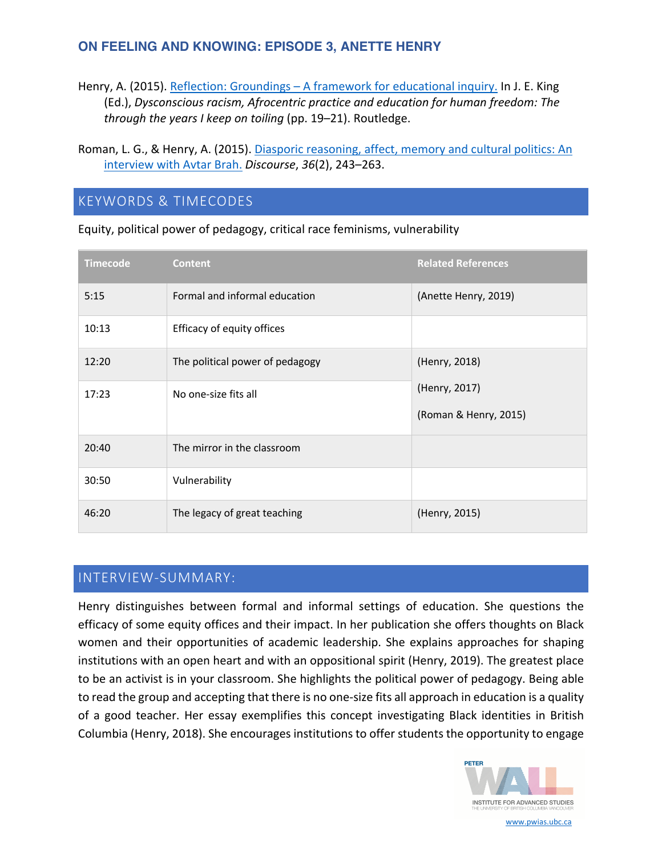## **ON FEELING AND KNOWING: EPISODE 3, ANETTE HENRY**

- Henry, A. (2015). Reflection: Groundings A framework for educational inquiry. In J. E. King (Ed.), *[Dysconscious racism, Afrocentric practice and education for human freedom: The](https://www.taylorfrancis.com/books/edit/10.4324/9781315717357/dysconscious-racism-afrocentric-praxis-education-human-freedom-years-keep-toiling-joyce-king)  through the years I keep on toiling* (pp. 19–21). Routledge.
- [Roman, L. G., & Henry, A. \(2015\). Diasporic reasoning, affect, memory and cultural politics: An](https://www.tandfonline.com/doi/abs/10.1080/01596306.2015.1013246)  interview with Avtar Brah. *Discourse*, *36*(2), 243–263.

## KEYWORDS & TIMECODES

| <b>Timecode</b> | <b>Content</b>                  | <b>Related References</b>              |
|-----------------|---------------------------------|----------------------------------------|
| 5:15            | Formal and informal education   | (Anette Henry, 2019)                   |
| 10:13           | Efficacy of equity offices      |                                        |
| 12:20           | The political power of pedagogy | (Henry, 2018)                          |
| 17:23           | No one-size fits all            | (Henry, 2017)<br>(Roman & Henry, 2015) |
| 20:40           | The mirror in the classroom     |                                        |
| 30:50           | Vulnerability                   |                                        |
| 46:20           | The legacy of great teaching    | (Henry, 2015)                          |

Equity, political power of pedagogy, critical race feminisms, vulnerability

# INTERVIEW-SUMMARY:

Henry distinguishes between formal and informal settings of education. She questions the efficacy of some equity offices and their impact. In her publication she offers thoughts on Black women and their opportunities of academic leadership. She explains approaches for shaping institutions with an open heart and with an oppositional spirit (Henry, 2019). The greatest place to be an activist is in your classroom. She highlights the political power of pedagogy. Being able to read the group and accepting that there is no one-size fits all approach in education is a quality of a good teacher. Her essay exemplifies this concept investigating Black identities in British Columbia (Henry, 2018). She encourages institutions to offer students the opportunity to engage